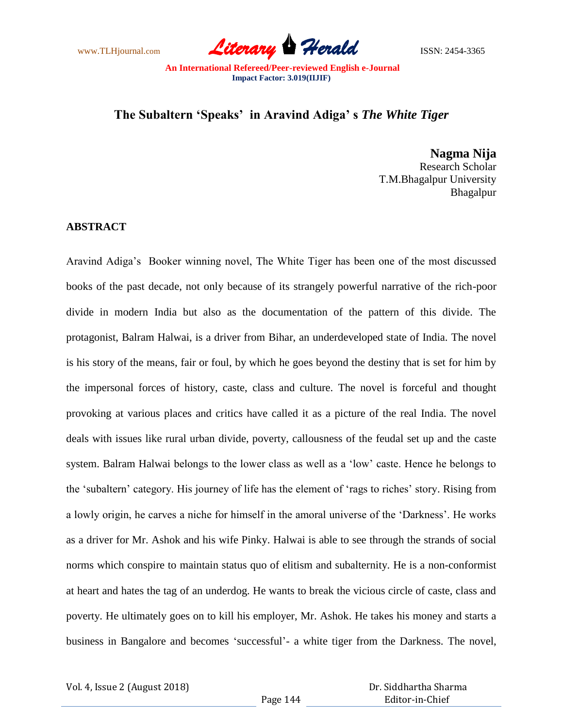www.TLHjournal.com **Literary Herald ISSN: 2454-3365** 

## **The Subaltern 'Speaks' in Aravind Adiga' s** *The White Tiger*

**Nagma Nija** Research Scholar T.M.Bhagalpur University Bhagalpur

## **ABSTRACT**

Aravind Adiga's Booker winning novel, The White Tiger has been one of the most discussed books of the past decade, not only because of its strangely powerful narrative of the rich-poor divide in modern India but also as the documentation of the pattern of this divide. The protagonist, Balram Halwai, is a driver from Bihar, an underdeveloped state of India. The novel is his story of the means, fair or foul, by which he goes beyond the destiny that is set for him by the impersonal forces of history, caste, class and culture. The novel is forceful and thought provoking at various places and critics have called it as a picture of the real India. The novel deals with issues like rural urban divide, poverty, callousness of the feudal set up and the caste system. Balram Halwai belongs to the lower class as well as a 'low' caste. Hence he belongs to the ‗subaltern' category. His journey of life has the element of ‗rags to riches' story. Rising from a lowly origin, he carves a niche for himself in the amoral universe of the 'Darkness'. He works as a driver for Mr. Ashok and his wife Pinky. Halwai is able to see through the strands of social norms which conspire to maintain status quo of elitism and subalternity. He is a non-conformist at heart and hates the tag of an underdog. He wants to break the vicious circle of caste, class and poverty. He ultimately goes on to kill his employer, Mr. Ashok. He takes his money and starts a business in Bangalore and becomes 'successful'- a white tiger from the Darkness. The novel,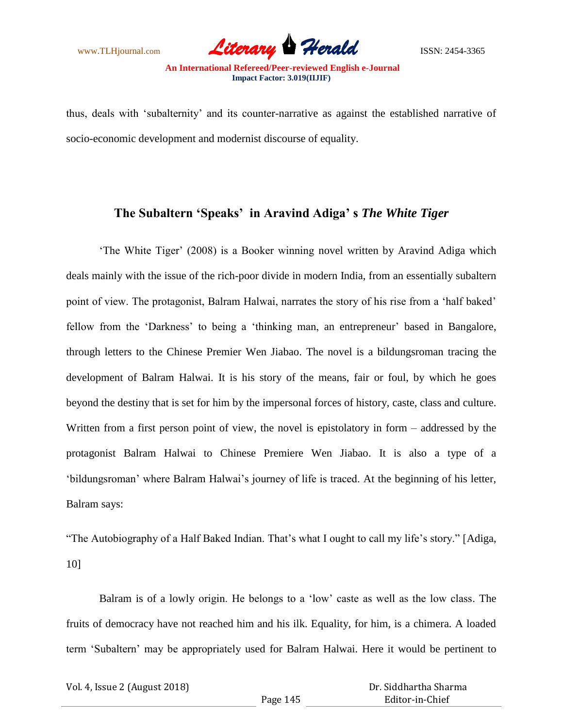

thus, deals with ‗subalternity' and its counter-narrative as against the established narrative of socio-economic development and modernist discourse of equality.

## **The Subaltern 'Speaks' in Aravind Adiga' s** *The White Tiger*

‗The White Tiger' (2008) is a Booker winning novel written by Aravind Adiga which deals mainly with the issue of the rich-poor divide in modern India, from an essentially subaltern point of view. The protagonist, Balram Halwai, narrates the story of his rise from a 'half baked' fellow from the 'Darkness' to being a 'thinking man, an entrepreneur' based in Bangalore, through letters to the Chinese Premier Wen Jiabao. The novel is a bildungsroman tracing the development of Balram Halwai. It is his story of the means, fair or foul, by which he goes beyond the destiny that is set for him by the impersonal forces of history, caste, class and culture. Written from a first person point of view, the novel is epistolatory in form – addressed by the protagonist Balram Halwai to Chinese Premiere Wen Jiabao. It is also a type of a ‗bildungsroman' where Balram Halwai's journey of life is traced. At the beginning of his letter, Balram says:

"The Autobiography of a Half Baked Indian. That's what I ought to call my life's story." [Adiga, 10]

Balram is of a lowly origin. He belongs to a 'low' caste as well as the low class. The fruits of democracy have not reached him and his ilk. Equality, for him, is a chimera. A loaded term ‗Subaltern' may be appropriately used for Balram Halwai. Here it would be pertinent to

| Vol. 4, Issue 2 (August 2018) |  |
|-------------------------------|--|
|-------------------------------|--|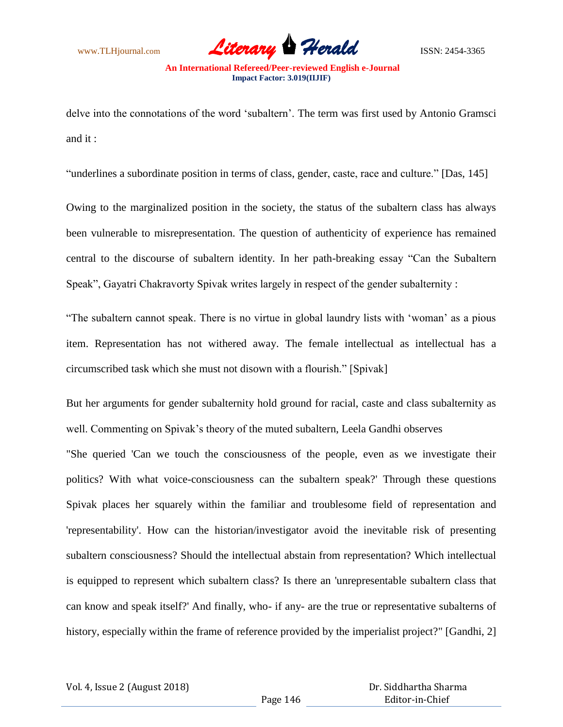www.TLHjournal.com **Literary Herald Herald** ISSN: 2454-3365

delve into the connotations of the word 'subaltern'. The term was first used by Antonio Gramsci and it :

"underlines a subordinate position in terms of class, gender, caste, race and culture." [Das, 145]

Owing to the marginalized position in the society, the status of the subaltern class has always been vulnerable to misrepresentation. The question of authenticity of experience has remained central to the discourse of subaltern identity. In her path-breaking essay "Can the Subaltern Speak", Gayatri Chakravorty Spivak writes largely in respect of the gender subalternity :

"The subaltern cannot speak. There is no virtue in global laundry lists with 'woman' as a pious item. Representation has not withered away. The female intellectual as intellectual has a circumscribed task which she must not disown with a flourish." [Spivak]

But her arguments for gender subalternity hold ground for racial, caste and class subalternity as well. Commenting on Spivak's theory of the muted subaltern, Leela Gandhi observes

"She queried 'Can we touch the consciousness of the people, even as we investigate their politics? With what voice-consciousness can the subaltern speak?' Through these questions Spivak places her squarely within the familiar and troublesome field of representation and 'representability'. How can the historian/investigator avoid the inevitable risk of presenting subaltern consciousness? Should the intellectual abstain from representation? Which intellectual is equipped to represent which subaltern class? Is there an 'unrepresentable subaltern class that can know and speak itself?' And finally, who- if any- are the true or representative subalterns of history, especially within the frame of reference provided by the imperialist project?" [Gandhi, 2]

Vol. 4, Issue 2 (August 2018)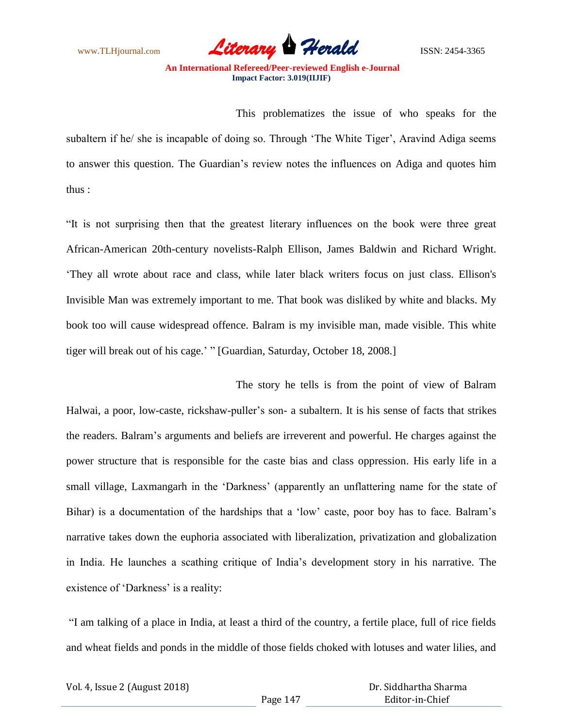www.TLHjournal.com **Literary Herald Herald** ISSN: 2454-3365

This problematizes the issue of who speaks for the subaltern if he/ she is incapable of doing so. Through 'The White Tiger', Aravind Adiga seems to answer this question. The Guardian's review notes the influences on Adiga and quotes him thus :

―It is not surprising then that the greatest literary influences on the book were three great African-American 20th-century novelists-Ralph Ellison, James Baldwin and Richard Wright. ‗They all wrote about race and class, while later black writers focus on just class. Ellison's Invisible Man was extremely important to me. That book was disliked by white and blacks. My book too will cause widespread offence. Balram is my invisible man, made visible. This white tiger will break out of his cage.' " [Guardian, Saturday, October 18, 2008.]

The story he tells is from the point of view of Balram Halwai, a poor, low-caste, rickshaw-puller's son- a subaltern. It is his sense of facts that strikes the readers. Balram's arguments and beliefs are irreverent and powerful. He charges against the power structure that is responsible for the caste bias and class oppression. His early life in a small village, Laxmangarh in the 'Darkness' (apparently an unflattering name for the state of Bihar) is a documentation of the hardships that a 'low' caste, poor boy has to face. Balram's narrative takes down the euphoria associated with liberalization, privatization and globalization in India. He launches a scathing critique of India's development story in his narrative. The existence of 'Darkness' is a reality:

―I am talking of a place in India, at least a third of the country, a fertile place, full of rice fields and wheat fields and ponds in the middle of those fields choked with lotuses and water lilies, and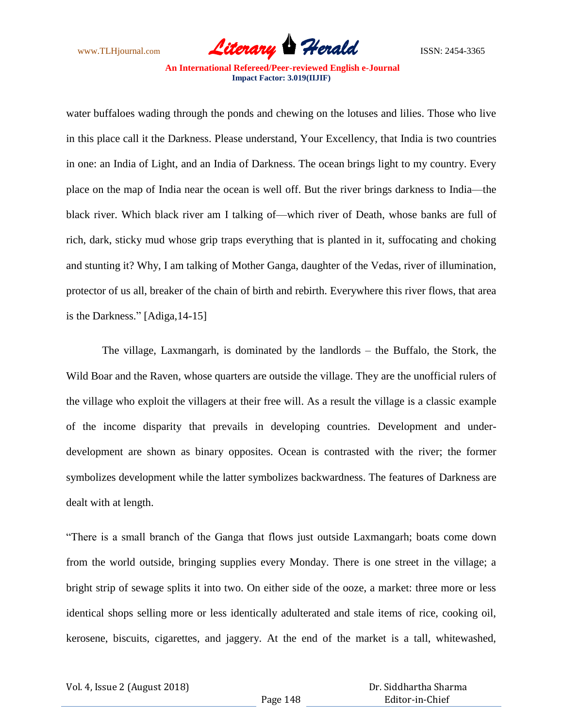

water buffaloes wading through the ponds and chewing on the lotuses and lilies. Those who live in this place call it the Darkness. Please understand, Your Excellency, that India is two countries in one: an India of Light, and an India of Darkness. The ocean brings light to my country. Every place on the map of India near the ocean is well off. But the river brings darkness to India—the black river. Which black river am I talking of—which river of Death, whose banks are full of rich, dark, sticky mud whose grip traps everything that is planted in it, suffocating and choking and stunting it? Why, I am talking of Mother Ganga, daughter of the Vedas, river of illumination, protector of us all, breaker of the chain of birth and rebirth. Everywhere this river flows, that area is the Darkness."  $[Adiga, 14-15]$ 

 The village, Laxmangarh, is dominated by the landlords – the Buffalo, the Stork, the Wild Boar and the Raven, whose quarters are outside the village. They are the unofficial rulers of the village who exploit the villagers at their free will. As a result the village is a classic example of the income disparity that prevails in developing countries. Development and underdevelopment are shown as binary opposites. Ocean is contrasted with the river; the former symbolizes development while the latter symbolizes backwardness. The features of Darkness are dealt with at length.

―There is a small branch of the Ganga that flows just outside Laxmangarh; boats come down from the world outside, bringing supplies every Monday. There is one street in the village; a bright strip of sewage splits it into two. On either side of the ooze, a market: three more or less identical shops selling more or less identically adulterated and stale items of rice, cooking oil, kerosene, biscuits, cigarettes, and jaggery. At the end of the market is a tall, whitewashed,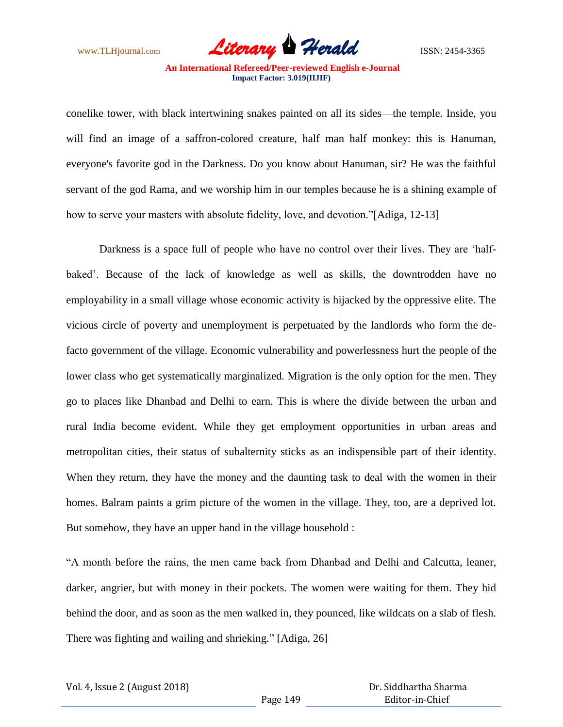

conelike tower, with black intertwining snakes painted on all its sides—the temple. Inside, you will find an image of a saffron-colored creature, half man half monkey: this is Hanuman, everyone's favorite god in the Darkness. Do you know about Hanuman, sir? He was the faithful servant of the god Rama, and we worship him in our temples because he is a shining example of how to serve your masters with absolute fidelity, love, and devotion."[Adiga, 12-13]

Darkness is a space full of people who have no control over their lives. They are 'halfbaked'. Because of the lack of knowledge as well as skills, the downtrodden have no employability in a small village whose economic activity is hijacked by the oppressive elite. The vicious circle of poverty and unemployment is perpetuated by the landlords who form the defacto government of the village. Economic vulnerability and powerlessness hurt the people of the lower class who get systematically marginalized. Migration is the only option for the men. They go to places like Dhanbad and Delhi to earn. This is where the divide between the urban and rural India become evident. While they get employment opportunities in urban areas and metropolitan cities, their status of subalternity sticks as an indispensible part of their identity. When they return, they have the money and the daunting task to deal with the women in their homes. Balram paints a grim picture of the women in the village. They, too, are a deprived lot. But somehow, they have an upper hand in the village household :

―A month before the rains, the men came back from Dhanbad and Delhi and Calcutta, leaner, darker, angrier, but with money in their pockets. The women were waiting for them. They hid behind the door, and as soon as the men walked in, they pounced, like wildcats on a slab of flesh. There was fighting and wailing and shrieking." [Adiga, 26]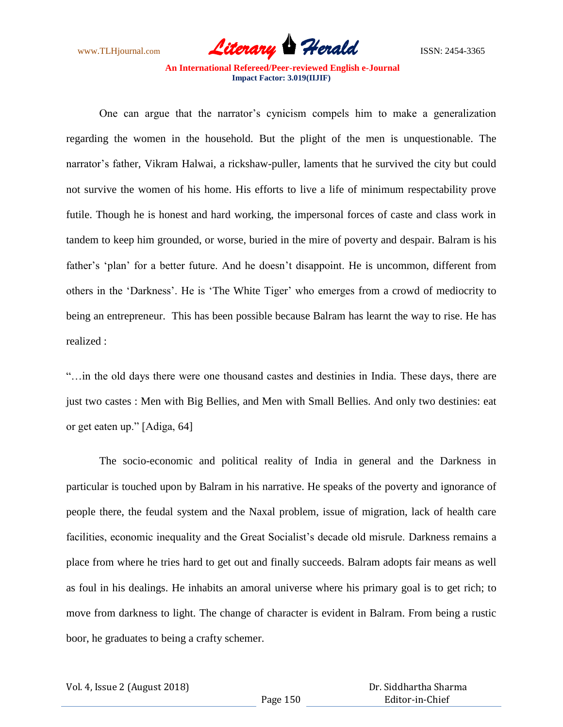www.TLHjournal.com **Literary Herald Herald** ISSN: 2454-3365

One can argue that the narrator's cynicism compels him to make a generalization regarding the women in the household. But the plight of the men is unquestionable. The narrator's father, Vikram Halwai, a rickshaw-puller, laments that he survived the city but could not survive the women of his home. His efforts to live a life of minimum respectability prove futile. Though he is honest and hard working, the impersonal forces of caste and class work in tandem to keep him grounded, or worse, buried in the mire of poverty and despair. Balram is his father's 'plan' for a better future. And he doesn't disappoint. He is uncommon, different from others in the ‗Darkness'. He is ‗The White Tiger' who emerges from a crowd of mediocrity to being an entrepreneur. This has been possible because Balram has learnt the way to rise. He has realized :

―…in the old days there were one thousand castes and destinies in India. These days, there are just two castes : Men with Big Bellies, and Men with Small Bellies. And only two destinies: eat or get eaten up." [Adiga, 64]

The socio-economic and political reality of India in general and the Darkness in particular is touched upon by Balram in his narrative. He speaks of the poverty and ignorance of people there, the feudal system and the Naxal problem, issue of migration, lack of health care facilities, economic inequality and the Great Socialist's decade old misrule. Darkness remains a place from where he tries hard to get out and finally succeeds. Balram adopts fair means as well as foul in his dealings. He inhabits an amoral universe where his primary goal is to get rich; to move from darkness to light. The change of character is evident in Balram. From being a rustic boor, he graduates to being a crafty schemer.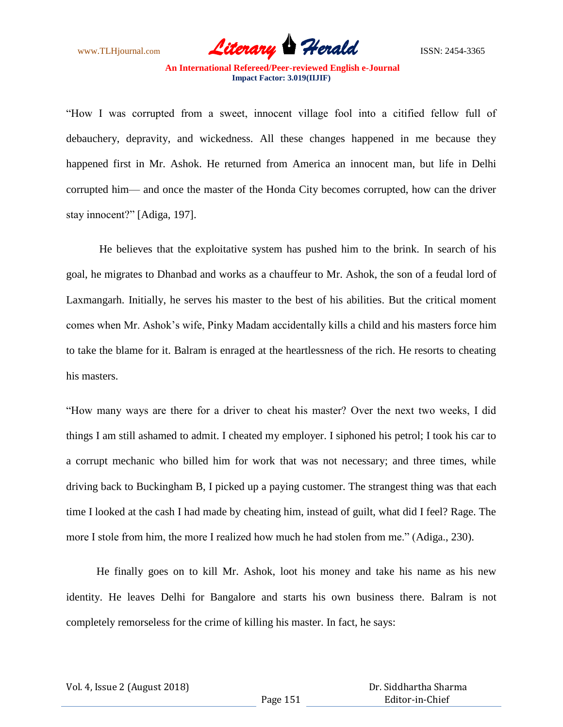

―How I was corrupted from a sweet, innocent village fool into a citified fellow full of debauchery, depravity, and wickedness. All these changes happened in me because they happened first in Mr. Ashok. He returned from America an innocent man, but life in Delhi corrupted him— and once the master of the Honda City becomes corrupted, how can the driver stay innocent?" [Adiga, 197].

He believes that the exploitative system has pushed him to the brink. In search of his goal, he migrates to Dhanbad and works as a chauffeur to Mr. Ashok, the son of a feudal lord of Laxmangarh. Initially, he serves his master to the best of his abilities. But the critical moment comes when Mr. Ashok's wife, Pinky Madam accidentally kills a child and his masters force him to take the blame for it. Balram is enraged at the heartlessness of the rich. He resorts to cheating his masters.

―How many ways are there for a driver to cheat his master? Over the next two weeks, I did things I am still ashamed to admit. I cheated my employer. I siphoned his petrol; I took his car to a corrupt mechanic who billed him for work that was not necessary; and three times, while driving back to Buckingham B, I picked up a paying customer. The strangest thing was that each time I looked at the cash I had made by cheating him, instead of guilt, what did I feel? Rage. The more I stole from him, the more I realized how much he had stolen from me." (Adiga., 230).

 He finally goes on to kill Mr. Ashok, loot his money and take his name as his new identity. He leaves Delhi for Bangalore and starts his own business there. Balram is not completely remorseless for the crime of killing his master. In fact, he says: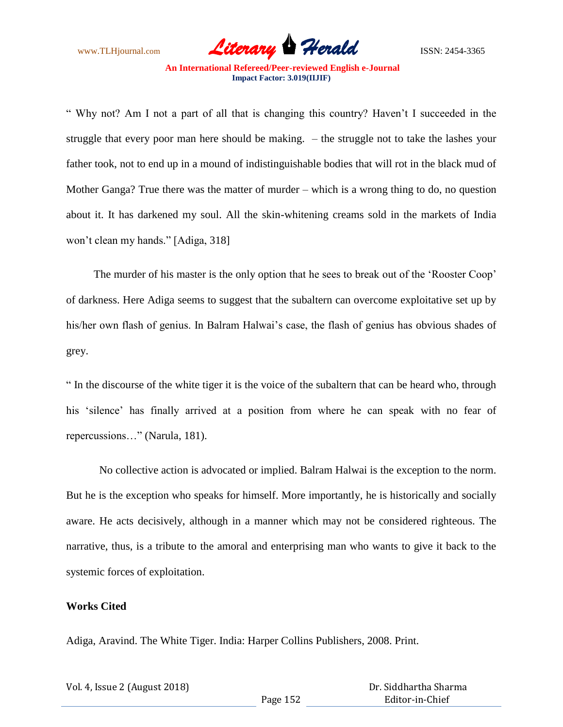

― Why not? Am I not a part of all that is changing this country? Haven't I succeeded in the struggle that every poor man here should be making. – the struggle not to take the lashes your father took, not to end up in a mound of indistinguishable bodies that will rot in the black mud of Mother Ganga? True there was the matter of murder – which is a wrong thing to do, no question about it. It has darkened my soul. All the skin-whitening creams sold in the markets of India won't clean my hands." [Adiga, 318]

The murder of his master is the only option that he sees to break out of the 'Rooster Coop' of darkness. Here Adiga seems to suggest that the subaltern can overcome exploitative set up by his/her own flash of genius. In Balram Halwai's case, the flash of genius has obvious shades of grey.

― In the discourse of the white tiger it is the voice of the subaltern that can be heard who, through his 'silence' has finally arrived at a position from where he can speak with no fear of repercussions..." (Narula, 181).

 No collective action is advocated or implied. Balram Halwai is the exception to the norm. But he is the exception who speaks for himself. More importantly, he is historically and socially aware. He acts decisively, although in a manner which may not be considered righteous. The narrative, thus, is a tribute to the amoral and enterprising man who wants to give it back to the systemic forces of exploitation.

## **Works Cited**

Adiga, Aravind. The White Tiger. India: Harper Collins Publishers, 2008. Print.

| Vol. 4, Issue 2 (August 2018) |          | Dr. Siddhartha Sharma |
|-------------------------------|----------|-----------------------|
|                               | Page 152 | Editor-in-Chief       |